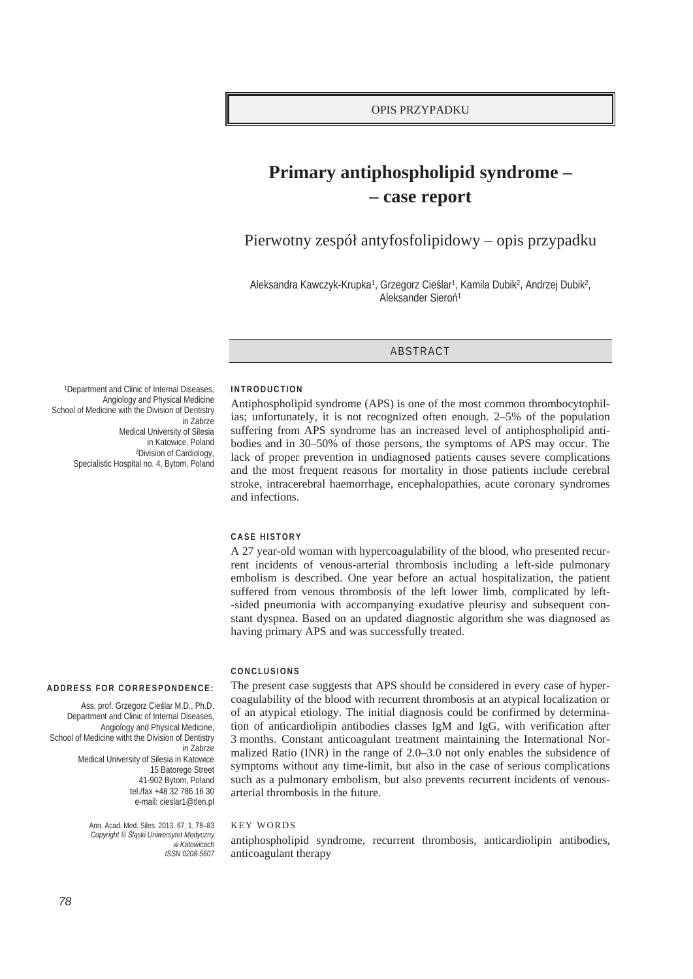# Primary antiphospholipid syndrome -- case report

Pierwotny zespół antyfosfolipidowy – opis przypadku

Aleksandra Kawczyk-Krupka<sup>1</sup>, Grzegorz Cieślar<sup>1</sup>, Kamila Dubik<sup>2</sup>, Andrzej Dubik<sup>2</sup>, Aleksander Sieroń<sup>1</sup>

## ABSTRACT

**INTRODUCTION** 

Antiphospholipid syndrome (APS) is one of the most common thrombocytophilias; unfortunately, it is not recognized often enough. 2–5% of the population suffering from APS syndrome has an increased level of antiphospholipid antibodies and in 30–50% of those persons, the symptoms of APS may occur. The lack of proper prevention in undiagnosed patients causes severe complications and the most frequent reasons for mortality in those patients include cerebral stroke, intracerebral haemorrhage, encephalopathies, acute coronary syndromes and infections.

#### CASE HISTORY

A 27 year-old woman with hypercoagulability of the blood, who presented recurrent incidents of venous-arterial thrombosis including a left-side pulmonary embolism is described. One year before an actual hospitalization, the patient suffered from venous thrombosis of the left lower limb, complicated by left--sided pneumonia with accompanying exudative pleurisy and subsequent constant dyspnea. Based on an updated diagnostic algorithm she was diagnosed as having primary APS and was successfully treated.

#### CONCLUSIONS

The present case suggests that APS should be considered in every case of hypercoagulability of the blood with recurrent thrombosis at an atypical localization or of an atypical etiology. The initial diagnosis could be confirmed by determination of anticardiolipin antibodies classes IgM and IgG, with verification after 3 months. Constant anticoagulant treatment maintaining the International Normalized Ratio (INR) in the range of  $2.0-3.0$  not only enables the subsidence of symptoms without any time-limit, but also in the case of serious complications such as a pulmonary embolism, but also prevents recurrent incidents of venousarterial thrombosis in the future.

### **KEY WORDS**

antiphospholipid syndrome, recurrent thrombosis, anticardiolipin antibodies, anticoagulant therapy

<sup>1</sup>Department and Clinic of Internal Diseases, Angiology and Physical Medicine School of Medicine with the Division of Dentistry in Zabrze Medical University of Silesia in Katowice, Poland <sup>2</sup>Division of Cardiology, Specialistic Hospital no. 4, Bytom, Poland

#### ADDRESS FOR CORRESPONDENCE:

Ass. prof. Grzegorz Cieślar M.D., Ph.D. Department and Clinic of Internal Diseases, Angiology and Physical Medicine, School of Medicine witht the Division of Dentistry in Zahrze Medical University of Silesia in Katowice 15 Batorego Street 41-902 Bytom, Poland tel /fax +48 32 786 16 30 e-mail: cieslar1@tlen.pl

> Ann. Acad. Med. Siles. 2013, 67, 1, 78-83 Copyright © Śląski Uniwersytet Medyczny w Katowicach ISSN 0208-5607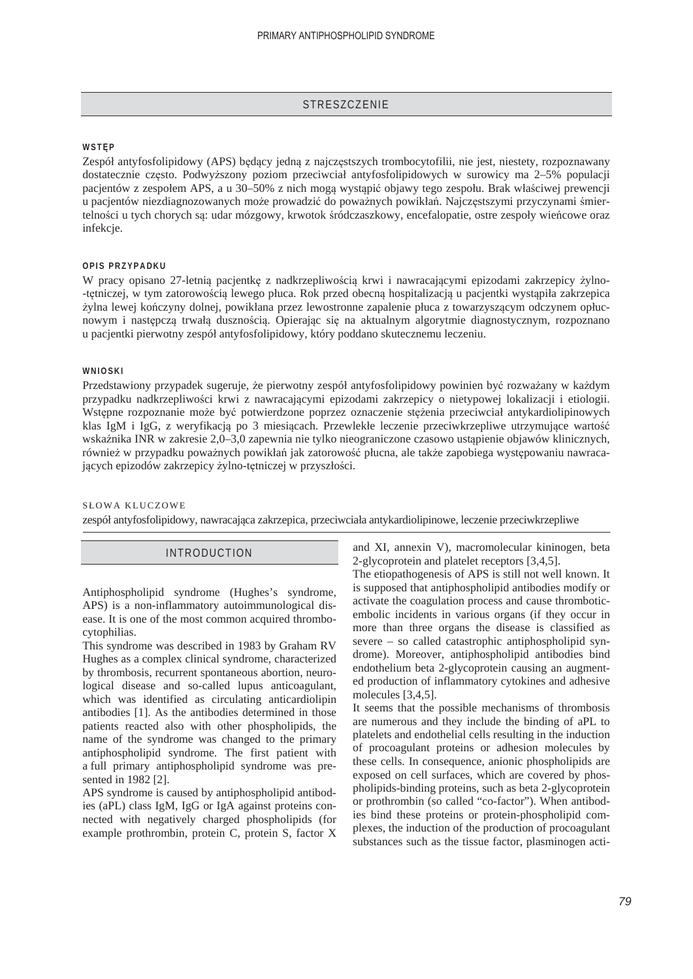## **STRESZCZENIE**

## WST**EP**

Zespół antyfosfolipidowy (APS) będący jedną z najczęstszych trombocytofilii, nie jest, niestety, rozpoznawany dostatecznie często. Podwyższony poziom przeciwciał antyfosfolipidowych w surowicy ma 2–5% populacji pacjentów z zespołem APS, a u 30–50% z nich mogą wystąpić objawy tego zespołu. Brak właściwej prewencji u pacjentów niezdiagnozowanych może prowadzić do poważnych powikłań. Najczęstszymi przyczynami śmiertelności u tych chorych są: udar mózgowy, krwotok śródczaszkowy, encefalopatie, ostre zespoły wieńcowe oraz infekcje.

## **OPIS PRZYPADKU**

W pracy opisano 27-letnią pacjentkę z nadkrzepliwością krwi i nawracającymi epizodami zakrzepicy żylno--tętniczej, w tym zatorowością lewego płuca. Rok przed obecną hospitalizacją u pacjentki wystąpiła zakrzepica żylna lewej kończyny dolnej, powikłana przez lewostronne zapalenie płuca z towarzyszącym odczynem opłucnowym i następczą trwałą dusznością. Opierając się na aktualnym algorytmie diagnostycznym, rozpoznano u pacjentki pierwotny zespóá antyfosfolipidowy, który poddano skutecznemu leczeniu.

#### **WNIOSKI**

Przedstawiony przypadek sugeruje, że pierwotny zespół antyfosfolipidowy powinien być rozważany w każdym przypadku nadkrzepliwoĞci krwi z nawracającymi epizodami zakrzepicy o nietypowej lokalizacji i etiologii. Wstępne rozpoznanie może być potwierdzone poprzez oznaczenie stężenia przeciwciał antykardiolipinowych klas IgM i IgG, z weryfikacją po 3 miesiącach. Przewlekłe leczenie przeciwkrzepliwe utrzymujące wartość wskaźnika INR w zakresie 2,0–3,0 zapewnia nie tylko nieograniczone czasowo ustąpienie objawów klinicznych, również w przypadku poważnych powikłań jak zatorowość płucna, ale także zapobiega występowaniu nawracających epizodów zakrzepicy żylno-tętniczej w przyszłości.

## SŁOWA KLUCZOWE

zespóá antyfosfolipidowy, nawracająca zakrzepica, przeciwciaáa antykardiolipinowe, leczenie przeciwkrzepliwe

## INTRODUCTION

Antiphospholipid syndrome (Hughes's syndrome, APS) is a non-inflammatory autoimmunological disease. It is one of the most common acquired thrombocytophilias.

This syndrome was described in 1983 by Graham RV Hughes as a complex clinical syndrome, characterized by thrombosis, recurrent spontaneous abortion, neurological disease and so-called lupus anticoagulant, which was identified as circulating anticardiolipin antibodies [1]. As the antibodies determined in those patients reacted also with other phospholipids, the name of the syndrome was changed to the primary antiphospholipid syndrome. The first patient with a full primary antiphospholipid syndrome was presented in 1982 [2].

APS syndrome is caused by antiphospholipid antibodies (aPL) class IgM, IgG or IgA against proteins connected with negatively charged phospholipids (for example prothrombin, protein C, protein S, factor X

and XI, annexin V), macromolecular kininogen, beta 2-glycoprotein and platelet receptors [3,4,5].

The etiopathogenesis of APS is still not well known. It is supposed that antiphospholipid antibodies modify or activate the coagulation process and cause thromboticembolic incidents in various organs (if they occur in more than three organs the disease is classified as severe – so called catastrophic antiphospholipid syndrome). Moreover, antiphospholipid antibodies bind endothelium beta 2-glycoprotein causing an augmented production of inflammatory cytokines and adhesive molecules [3,4,5].

It seems that the possible mechanisms of thrombosis are numerous and they include the binding of aPL to platelets and endothelial cells resulting in the induction of procoagulant proteins or adhesion molecules by these cells. In consequence, anionic phospholipids are exposed on cell surfaces, which are covered by phospholipids-binding proteins, such as beta 2-glycoprotein or prothrombin (so called "co-factor"). When antibodies bind these proteins or protein-phospholipid complexes, the induction of the production of procoagulant substances such as the tissue factor, plasminogen acti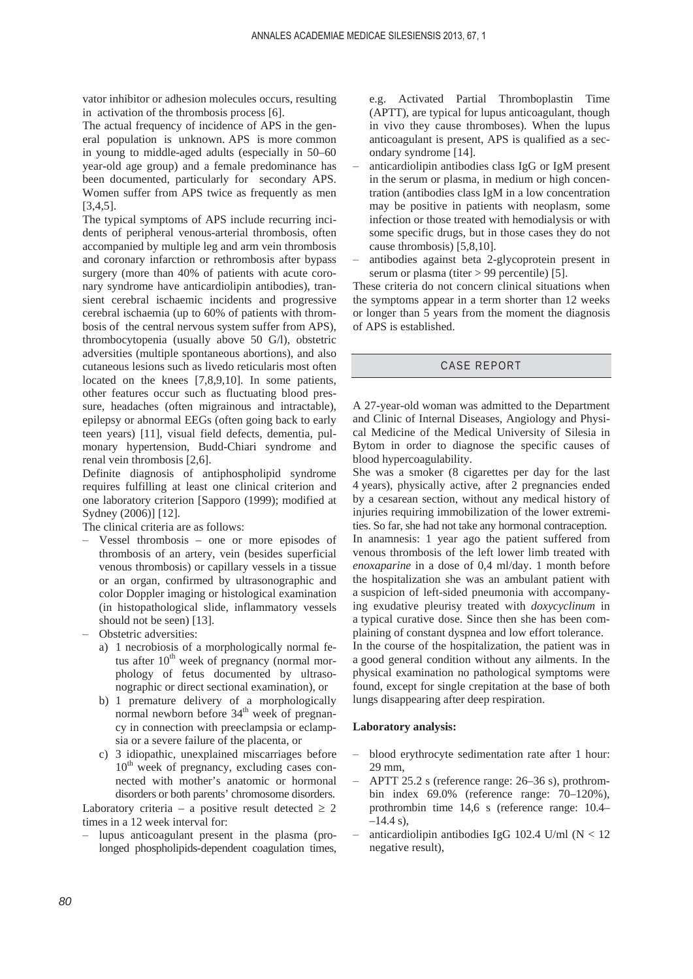vator inhibitor or adhesion molecules occurs, resulting in activation of the thrombosis process [6].

The actual frequency of incidence of APS in the general population is unknown. APS is more common in young to middle-aged adults (especially in 50–60 year-old age group) and a female predominance has been documented, particularly for secondary APS. Women suffer from APS twice as frequently as men [3,4,5].

The typical symptoms of APS include recurring incidents of peripheral venous-arterial thrombosis, often accompanied by multiple leg and arm vein thrombosis and coronary infarction or rethrombosis after bypass surgery (more than 40% of patients with acute coronary syndrome have anticardiolipin antibodies), transient cerebral ischaemic incidents and progressive cerebral ischaemia (up to 60% of patients with thrombosis of the central nervous system suffer from APS), thrombocytopenia (usually above 50 G/l), obstetric adversities (multiple spontaneous abortions), and also cutaneous lesions such as livedo reticularis most often located on the knees [7,8,9,10]. In some patients, other features occur such as fluctuating blood pressure, headaches (often migrainous and intractable), epilepsy or abnormal EEGs (often going back to early teen years) [11], visual field defects, dementia, pulmonary hypertension, Budd-Chiari syndrome and renal vein thrombosis [2,6].

Definite diagnosis of antiphospholipid syndrome requires fulfilling at least one clinical criterion and one laboratory criterion [Sapporo (1999); modified at Sydney (2006)] [12].

The clinical criteria are as follows:

- Vessel thrombosis one or more episodes of thrombosis of an artery, vein (besides superficial venous thrombosis) or capillary vessels in a tissue or an organ, confirmed by ultrasonographic and color Doppler imaging or histological examination (in histopathological slide, inflammatory vessels should not be seen) [13].
- Obstetric adversities:
	- a) 1 necrobiosis of a morphologically normal fetus after  $10<sup>th</sup>$  week of pregnancy (normal morphology of fetus documented by ultrasonographic or direct sectional examination), or
	- b) 1 premature delivery of a morphologically normal newborn before  $34<sup>th</sup>$  week of pregnancy in connection with preeclampsia or eclampsia or a severe failure of the placenta, or
	- c) 3 idiopathic, unexplained miscarriages before  $10<sup>th</sup>$  week of pregnancy, excluding cases connected with mother's anatomic or hormonal disorders or both parents' chromosome disorders.

Laboratory criteria – a positive result detected  $\geq 2$ times in a 12 week interval for:

 lupus anticoagulant present in the plasma (prolonged phospholipids-dependent coagulation times, e.g. Activated Partial Thromboplastin Time (APTT), are typical for lupus anticoagulant, though in vivo they cause thromboses). When the lupus anticoagulant is present, APS is qualified as a secondary syndrome [14].

- anticardiolipin antibodies class IgG or IgM present in the serum or plasma, in medium or high concentration (antibodies class IgM in a low concentration may be positive in patients with neoplasm, some infection or those treated with hemodialysis or with some specific drugs, but in those cases they do not cause thrombosis) [5,8,10].
- antibodies against beta 2-glycoprotein present in serum or plasma (titer > 99 percentile) [5].

These criteria do not concern clinical situations when the symptoms appear in a term shorter than 12 weeks or longer than 5 years from the moment the diagnosis of APS is established.

## CASE REPORT

A 27-year-old woman was admitted to the Department and Clinic of Internal Diseases, Angiology and Physical Medicine of the Medical University of Silesia in Bytom in order to diagnose the specific causes of blood hypercoagulability.

She was a smoker (8 cigarettes per day for the last 4 years), physically active, after 2 pregnancies ended by a cesarean section, without any medical history of injuries requiring immobilization of the lower extremities. So far, she had not take any hormonal contraception. In anamnesis: 1 year ago the patient suffered from venous thrombosis of the left lower limb treated with *enoxaparine* in a dose of 0,4 ml/day. 1 month before the hospitalization she was an ambulant patient with a suspicion of left-sided pneumonia with accompanying exudative pleurisy treated with *doxycyclinum* in a typical curative dose. Since then she has been complaining of constant dyspnea and low effort tolerance.

In the course of the hospitalization, the patient was in a good general condition without any ailments. In the physical examination no pathological symptoms were found, except for single crepitation at the base of both lungs disappearing after deep respiration.

#### **Laboratory analysis:**

- blood erythrocyte sedimentation rate after 1 hour: 29 mm,
- APTT 25.2 s (reference range: 26–36 s), prothrombin index 69.0% (reference range: 70–120%), prothrombin time 14,6 s (reference range: 10.4–  $-14.4$  s),
- anticardiolipin antibodies IgG 102.4 U/ml ( $N < 12$ ) negative result),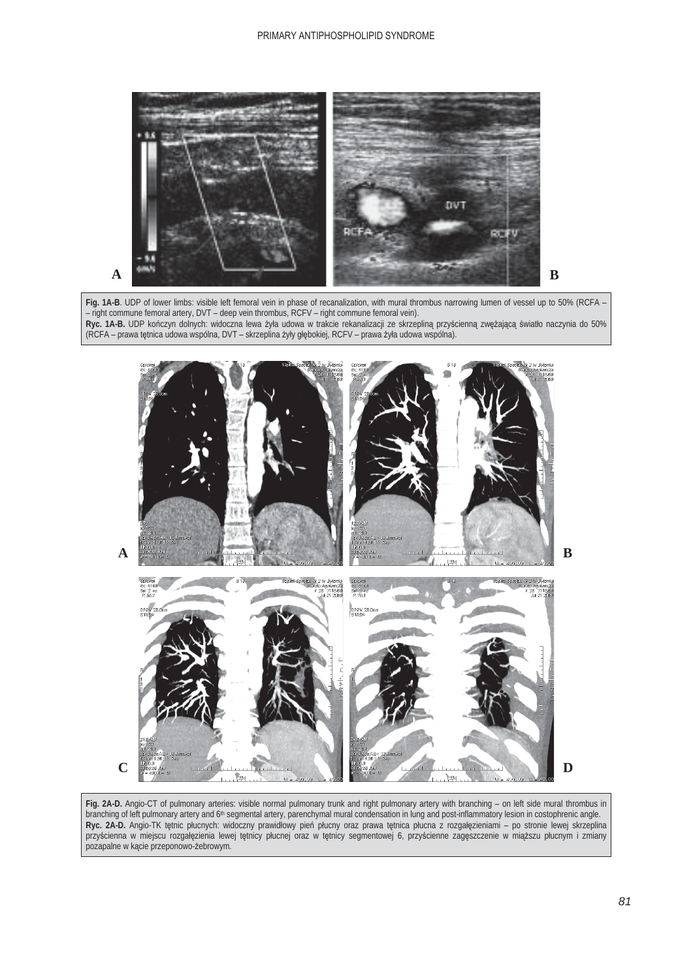### PRIMARY ANTIPHOSPHOLIPID SYNDROME



Fig. 1A-B. UDP of lower limbs: visible left femoral vein in phase of recanalization, with mural thrombus narrowing lumen of vessel up to 50% (RCFA -– right commune femoral artery, DVT – deep vein thrombus, RCFV – right commune femoral vein). Ryc. 1A-B. UDP kończyn dolnych: widoczna lewa żyła udowa w trakcie rekanalizacji ze skrzepliną przyścienną zwężającą światło naczynia do 50% (RCFA – prawa tętnica udowa wspólna, DVT – skrzeplina żyły głębokiej, RCFV – prawa żyła udowa wspólna).



**Fig. 2A-D.** Angio-CT of pulmonary arteries: visible normal pulmonary trunk and right pulmonary artery with branching – on left side mural thrombus in branching of left pulmonary artery and 6<sup>th</sup> segmental artery, parenchymal mural condensation in lung and post-inflammatory lesion in costophrenic angle. Ryc. 2A-D. Angio-TK tętnic płucnych: widoczny prawidłowy pień płucny oraz prawa tętnica płucna z rozgałęzieniami – po stronie lewej skrzeplina przyścienna w miejscu rozgałęzienia lewej tętnicy płucnej oraz w tętnicy segmentowej 6, przyścienne zagęszczenie w miąższu płucnym i zmiany pozapalne w kącie przeponowo-żebrowym.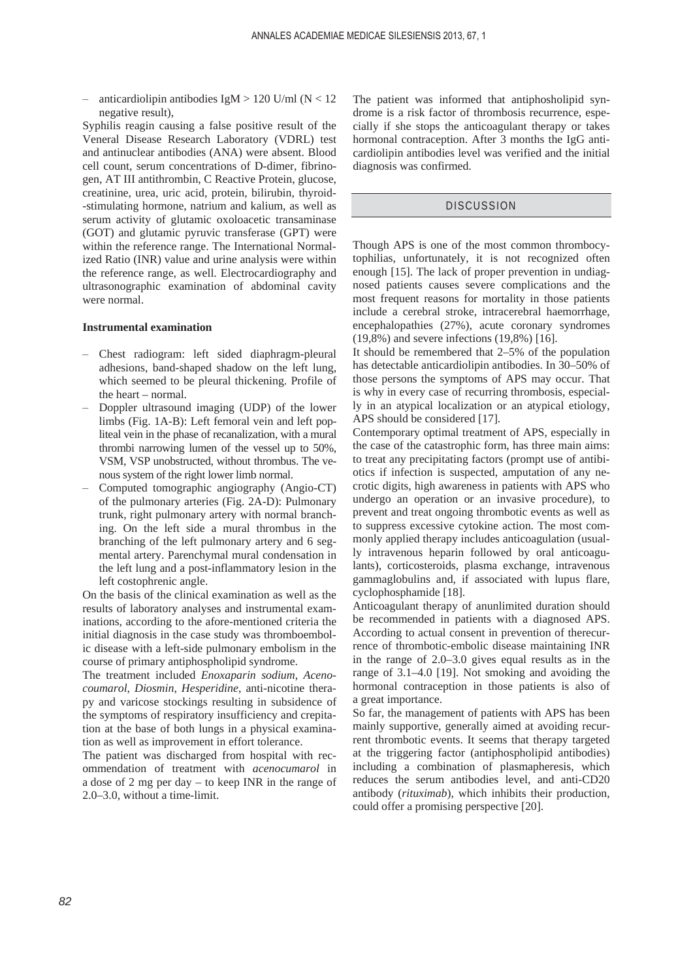- anticardiolipin antibodies IgM > 120 U/ml ( $N < 12$ ) negative result),

Syphilis reagin causing a false positive result of the Veneral Disease Research Laboratory (VDRL) test and antinuclear antibodies (ANA) were absent. Blood cell count, serum concentrations of D-dimer, fibrinogen, AT III antithrombin, C Reactive Protein, glucose, creatinine, urea, uric acid, protein, bilirubin, thyroid- -stimulating hormone, natrium and kalium, as well as serum activity of glutamic oxoloacetic transaminase (GOT) and glutamic pyruvic transferase (GPT) were within the reference range. The International Normalized Ratio (INR) value and urine analysis were within the reference range, as well. Electrocardiography and ultrasonographic examination of abdominal cavity were normal.

## **Instrumental examination**

- Chest radiogram: left sided diaphragm-pleural adhesions, band-shaped shadow on the left lung, which seemed to be pleural thickening. Profile of the heart – normal.
- Doppler ultrasound imaging (UDP) of the lower limbs (Fig. 1A-B): Left femoral vein and left popliteal vein in the phase of recanalization, with a mural thrombi narrowing lumen of the vessel up to 50%, VSM, VSP unobstructed, without thrombus. The venous system of the right lower limb normal.
- Computed tomographic angiography (Angio-CT) of the pulmonary arteries (Fig. 2A-D): Pulmonary trunk, right pulmonary artery with normal branching. On the left side a mural thrombus in the branching of the left pulmonary artery and 6 segmental artery. Parenchymal mural condensation in the left lung and a post-inflammatory lesion in the left costophrenic angle.

On the basis of the clinical examination as well as the results of laboratory analyses and instrumental examinations, according to the afore-mentioned criteria the initial diagnosis in the case study was thromboembolic disease with a left-side pulmonary embolism in the course of primary antiphospholipid syndrome.

The treatment included *Enoxaparin sodium*, *Acenocoumarol*, *Diosmin*, *Hesperidine*, anti-nicotine therapy and varicose stockings resulting in subsidence of the symptoms of respiratory insufficiency and crepitation at the base of both lungs in a physical examination as well as improvement in effort tolerance.

The patient was discharged from hospital with recommendation of treatment with *acenocumarol* in a dose of 2 mg per day – to keep INR in the range of 2.0–3.0, without a time-limit.

The patient was informed that antiphosholipid syndrome is a risk factor of thrombosis recurrence, especially if she stops the anticoagulant therapy or takes hormonal contraception. After 3 months the IgG anticardiolipin antibodies level was verified and the initial diagnosis was confirmed.

## **DISCUSSION**

Though APS is one of the most common thrombocytophilias, unfortunately, it is not recognized often enough [15]. The lack of proper prevention in undiagnosed patients causes severe complications and the most frequent reasons for mortality in those patients include a cerebral stroke, intracerebral haemorrhage, encephalopathies (27%), acute coronary syndromes (19,8%) and severe infections (19,8%) [16].

It should be remembered that 2–5% of the population has detectable anticardiolipin antibodies. In 30–50% of those persons the symptoms of APS may occur. That is why in every case of recurring thrombosis, especially in an atypical localization or an atypical etiology, APS should be considered [17].

Contemporary optimal treatment of APS, especially in the case of the catastrophic form, has three main aims: to treat any precipitating factors (prompt use of antibiotics if infection is suspected, amputation of any necrotic digits, high awareness in patients with APS who undergo an operation or an invasive procedure), to prevent and treat ongoing thrombotic events as well as to suppress excessive cytokine action. The most commonly applied therapy includes anticoagulation (usually intravenous heparin followed by oral anticoagulants), corticosteroids, plasma exchange, intravenous gammaglobulins and, if associated with lupus flare, cyclophosphamide [18].

Anticoagulant therapy of anunlimited duration should be recommended in patients with a diagnosed APS. According to actual consent in prevention of therecurrence of thrombotic-embolic disease maintaining INR in the range of 2.0–3.0 gives equal results as in the range of 3.1–4.0 [19]. Not smoking and avoiding the hormonal contraception in those patients is also of a great importance.

So far, the management of patients with APS has been mainly supportive, generally aimed at avoiding recurrent thrombotic events. It seems that therapy targeted at the triggering factor (antiphospholipid antibodies) including a combination of plasmapheresis, which reduces the serum antibodies level, and anti-CD20 antibody (*rituximab*), which inhibits their production, could offer a promising perspective [20].